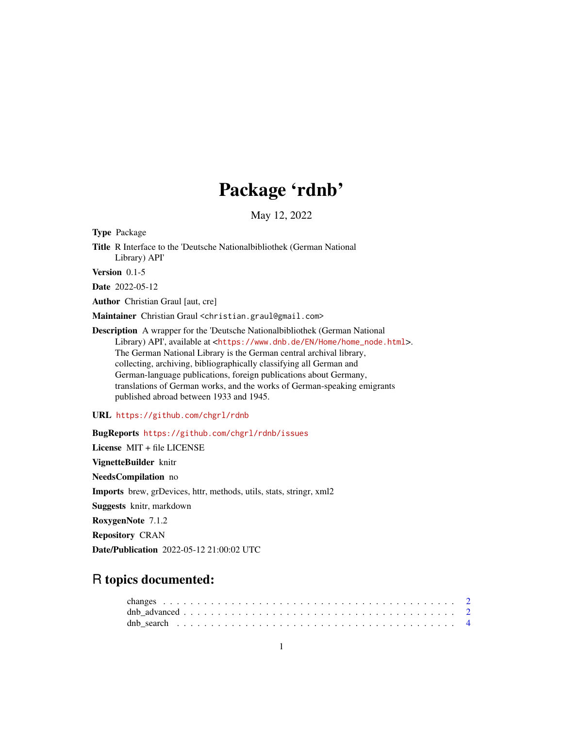## Package 'rdnb'

May 12, 2022

Type Package

Title R Interface to the 'Deutsche Nationalbibliothek (German National Library) API'

Version 0.1-5

Date 2022-05-12

Author Christian Graul [aut, cre]

Maintainer Christian Graul <christian.graul@gmail.com>

Description A wrapper for the 'Deutsche Nationalbibliothek (German National Library) API', available at <[https://www.dnb.de/EN/Home/home\\_node.html](https://www.dnb.de/EN/Home/home_node.html)>. The German National Library is the German central archival library, collecting, archiving, bibliographically classifying all German and German-language publications, foreign publications about Germany, translations of German works, and the works of German-speaking emigrants published abroad between 1933 and 1945.

URL <https://github.com/chgrl/rdnb>

BugReports <https://github.com/chgrl/rdnb/issues>

License MIT + file LICENSE VignetteBuilder knitr NeedsCompilation no Imports brew, grDevices, httr, methods, utils, stats, stringr, xml2 Suggests knitr, markdown RoxygenNote 7.1.2 Repository CRAN

Date/Publication 2022-05-12 21:00:02 UTC

### R topics documented: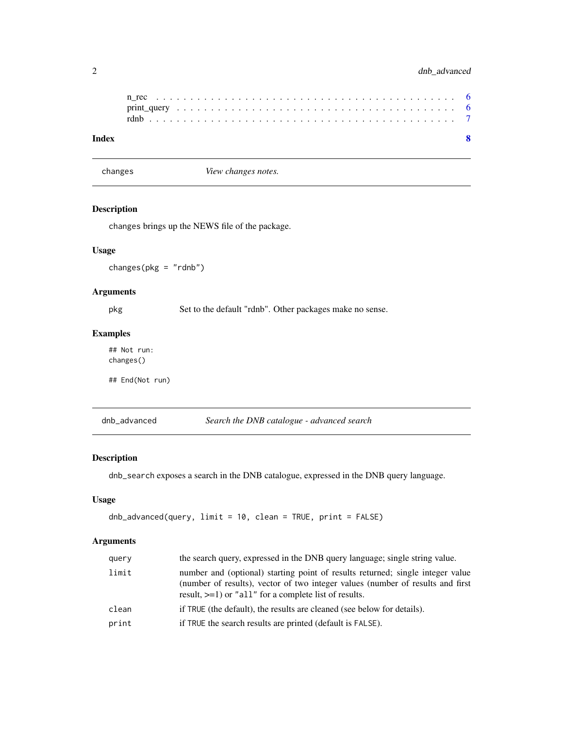#### <span id="page-1-0"></span>2 dnb\_advanced

changes *View changes notes.*

#### Description

changes brings up the NEWS file of the package.

#### Usage

changes(pkg = "rdnb")

#### Arguments

pkg Set to the default "rdnb". Other packages make no sense.

#### Examples

## Not run: changes()

## End(Not run)

<span id="page-1-1"></span>dnb\_advanced *Search the DNB catalogue - advanced search*

#### Description

dnb\_search exposes a search in the DNB catalogue, expressed in the DNB query language.

#### Usage

```
dnb_advanced(query, limit = 10, clean = TRUE, print = FALSE)
```
#### Arguments

| query | the search query, expressed in the DNB query language; single string value.                                                                                                                                                  |
|-------|------------------------------------------------------------------------------------------------------------------------------------------------------------------------------------------------------------------------------|
| limit | number and (optional) starting point of results returned; single integer value<br>(number of results), vector of two integer values (number of results and first<br>result, $>=1$ ) or "all" for a complete list of results. |
| clean | if TRUE (the default), the results are cleaned (see below for details).                                                                                                                                                      |
| print | if TRUE the search results are printed (default is FALSE).                                                                                                                                                                   |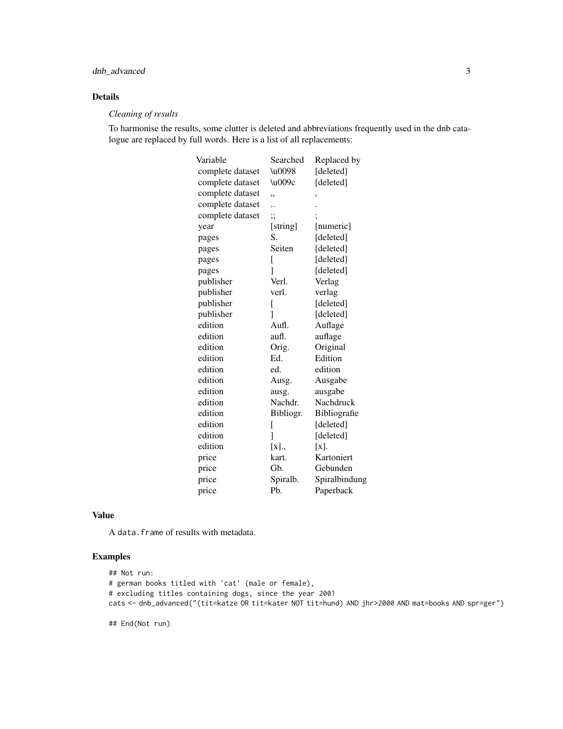#### dnb\_advanced 3

#### Details

#### *Cleaning of results*

To harmonise the results, some clutter is deleted and abbreviations frequently used in the dnb catalogue are replaced by full words. Here is a list of all replacements:

| Variable         | Searched  | Replaced by   |
|------------------|-----------|---------------|
| complete dataset | \u0098    | [deleted]     |
| complete dataset | \u009c    | [deleted]     |
| complete dataset | ,,        | ,             |
| complete dataset |           |               |
| complete dataset | $\vdots$  |               |
| year             | [string]  | [numeric]     |
| pages            | S.        | [deleted]     |
| pages            | Seiten    | [deleted]     |
| pages            | [         | [deleted]     |
| pages            | 1         | [deleted]     |
| publisher        | Verl.     | Verlag        |
| publisher        | verl.     | verlag        |
| publisher        | [         | [deleted]     |
| publisher        | 1         | [deleted]     |
| edition          | Aufl.     | Auflage       |
| edition          | aufl.     | auflage       |
| edition          | Orig.     | Original      |
| edition          | Ed.       | Edition       |
| edition          | ed.       | edition       |
| edition          | Ausg.     | Ausgabe       |
| edition          | ausg.     | ausgabe       |
| edition          | Nachdr.   | Nachdruck     |
| edition          | Bibliogr. | Bibliografie  |
| edition          | [         | [deleted]     |
| edition          | 1         | [deleted]     |
| edition          | [x].,     | $[x]$ .       |
| price            | kart.     | Kartoniert    |
| price            | Gb.       | Gebunden      |
| price            | Spiralb.  | Spiralbindung |
| price            | Pb.       | Paperback     |

#### Value

A data.frame of results with metadata.

#### Examples

```
## Not run:
# german books titled with 'cat' (male or female),
# excluding titles containing dogs, since the year 2001
cats <- dnb_advanced("(tit=katze OR tit=kater NOT tit=hund) AND jhr>2000 AND mat=books AND spr=ger")
```
## End(Not run)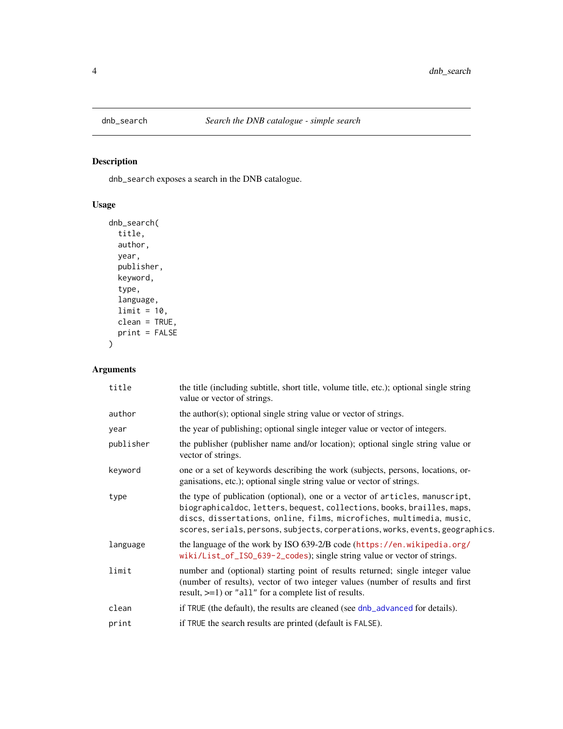<span id="page-3-1"></span><span id="page-3-0"></span>

#### Description

dnb\_search exposes a search in the DNB catalogue.

#### Usage

```
dnb_search(
  title,
 author,
 year,
 publisher,
 keyword,
  type,
 language,
 limit = 10,clean = TRUE,
 print = FALSE
\mathcal{L}
```
#### Arguments

| title     | the title (including subtitle, short title, volume title, etc.); optional single string<br>value or vector of strings.                                                                                                                                                                                          |
|-----------|-----------------------------------------------------------------------------------------------------------------------------------------------------------------------------------------------------------------------------------------------------------------------------------------------------------------|
| author    | the author(s); optional single string value or vector of strings.                                                                                                                                                                                                                                               |
| year      | the year of publishing; optional single integer value or vector of integers.                                                                                                                                                                                                                                    |
| publisher | the publisher (publisher name and/or location); optional single string value or<br>vector of strings.                                                                                                                                                                                                           |
| keyword   | one or a set of keywords describing the work (subjects, persons, locations, or-<br>ganisations, etc.); optional single string value or vector of strings.                                                                                                                                                       |
| type      | the type of publication (optional), one or a vector of articles, manuscript,<br>biographicaldoc, letters, bequest, collections, books, brailles, maps,<br>discs, dissertations, online, films, microfiches, multimedia, music,<br>scores, serials, persons, subjects, corperations, works, events, geographics. |
| language  | the language of the work by ISO 639-2/B code (https://en.wikipedia.org/<br>wiki/List_of_ISO_639-2_codes); single string value or vector of strings.                                                                                                                                                             |
| limit     | number and (optional) starting point of results returned; single integer value<br>(number of results), vector of two integer values (number of results and first<br>result, $>=1$ or "all" for a complete list of results.                                                                                      |
| clean     | if TRUE (the default), the results are cleaned (see dnb_advanced for details).                                                                                                                                                                                                                                  |
| print     | if TRUE the search results are printed (default is FALSE).                                                                                                                                                                                                                                                      |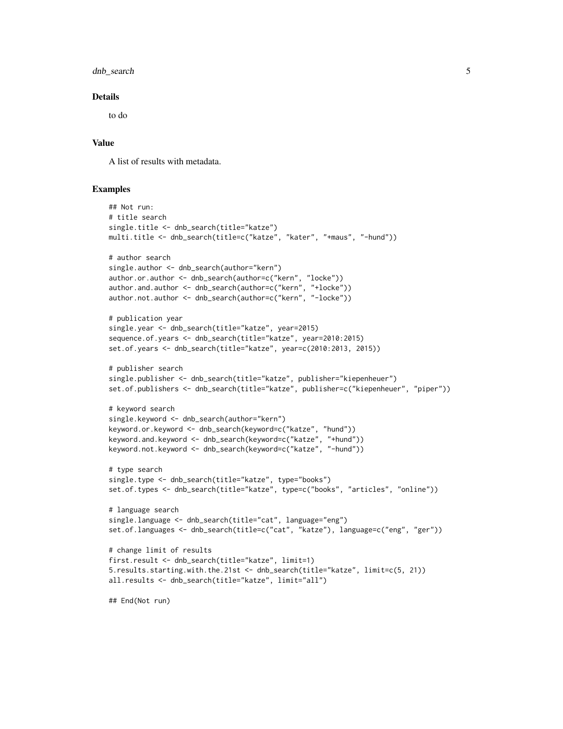dnb\_search 5

#### Details

to do

#### Value

A list of results with metadata.

#### Examples

```
## Not run:
# title search
single.title <- dnb_search(title="katze")
multi.title <- dnb_search(title=c("katze", "kater", "+maus", "-hund"))
# author search
single.author <- dnb_search(author="kern")
author.or.author <- dnb_search(author=c("kern", "locke"))
author.and.author <- dnb_search(author=c("kern", "+locke"))
author.not.author <- dnb_search(author=c("kern", "-locke"))
# publication year
single.year <- dnb_search(title="katze", year=2015)
sequence.of.years <- dnb_search(title="katze", year=2010:2015)
set.of.years <- dnb_search(title="katze", year=c(2010:2013, 2015))
# publisher search
single.publisher <- dnb_search(title="katze", publisher="kiepenheuer")
set.of.publishers <- dnb_search(title="katze", publisher=c("kiepenheuer", "piper"))
# keyword search
single.keyword <- dnb_search(author="kern")
keyword.or.keyword <- dnb_search(keyword=c("katze", "hund"))
keyword.and.keyword <- dnb_search(keyword=c("katze", "+hund"))
keyword.not.keyword <- dnb_search(keyword=c("katze", "-hund"))
# type search
single.type <- dnb_search(title="katze", type="books")
set.of.types <- dnb_search(title="katze", type=c("books", "articles", "online"))
# language search
single.language <- dnb_search(title="cat", language="eng")
set.of.languages <- dnb_search(title=c("cat", "katze"), language=c("eng", "ger"))
# change limit of results
first.result <- dnb_search(title="katze", limit=1)
5.results.starting.with.the.21st <- dnb_search(title="katze", limit=c(5, 21))
all.results <- dnb_search(title="katze", limit="all")
## End(Not run)
```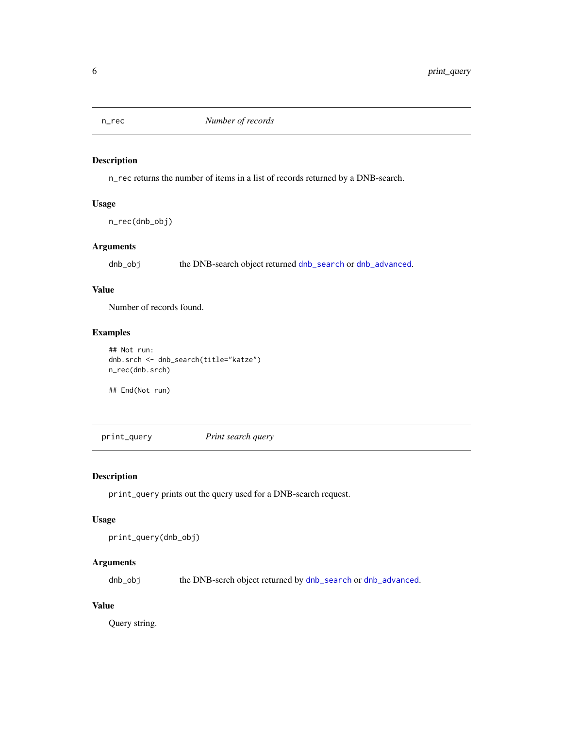<span id="page-5-0"></span>

#### Description

n\_rec returns the number of items in a list of records returned by a DNB-search.

#### Usage

n\_rec(dnb\_obj)

#### Arguments

dnb\_obj the DNB-search object returned [dnb\\_search](#page-3-1) or [dnb\\_advanced](#page-1-1).

#### Value

Number of records found.

#### Examples

```
## Not run:
dnb.srch <- dnb_search(title="katze")
n_rec(dnb.srch)
```
## End(Not run)

print\_query *Print search query*

#### Description

print\_query prints out the query used for a DNB-search request.

#### Usage

```
print_query(dnb_obj)
```
#### Arguments

dnb\_obj the DNB-serch object returned by [dnb\\_search](#page-3-1) or [dnb\\_advanced](#page-1-1).

#### Value

Query string.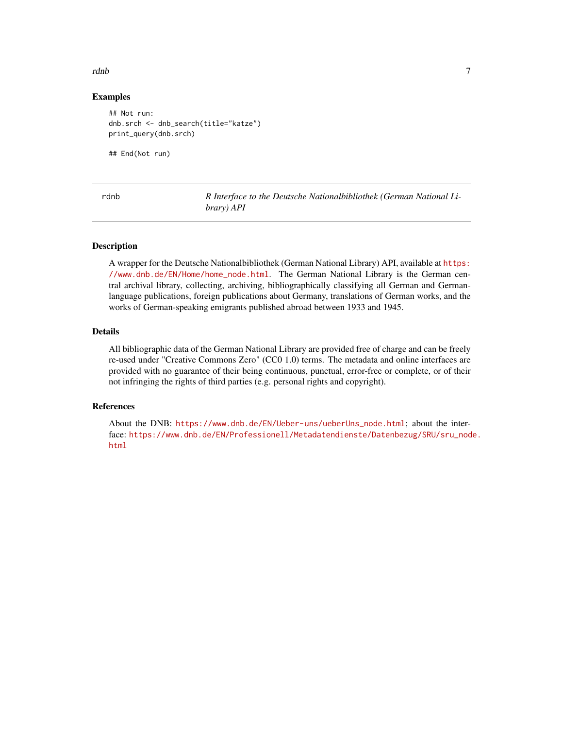#### <span id="page-6-0"></span>rdnb 77

#### Examples

```
## Not run:
dnb.srch <- dnb_search(title="katze")
print_query(dnb.srch)
```
## End(Not run)

|  |  | $\sim$ |
|--|--|--------|
|--|--|--------|

R Interface to the Deutsche Nationalbibliothek (German National Li*brary) API*

#### Description

A wrapper for the Deutsche Nationalbibliothek (German National Library) API, available at [https:](https://www.dnb.de/EN/Home/home_node.html) [//www.dnb.de/EN/Home/home\\_node.html](https://www.dnb.de/EN/Home/home_node.html). The German National Library is the German central archival library, collecting, archiving, bibliographically classifying all German and Germanlanguage publications, foreign publications about Germany, translations of German works, and the works of German-speaking emigrants published abroad between 1933 and 1945.

#### Details

All bibliographic data of the German National Library are provided free of charge and can be freely re-used under "Creative Commons Zero" (CC0 1.0) terms. The metadata and online interfaces are provided with no guarantee of their being continuous, punctual, error-free or complete, or of their not infringing the rights of third parties (e.g. personal rights and copyright).

#### References

About the DNB: [https://www.dnb.de/EN/Ueber-uns/ueberUns\\_node.html](https://www.dnb.de/EN/Ueber-uns/ueberUns_node.html); about the interface: [https://www.dnb.de/EN/Professionell/Metadatendienste/Datenbezug/SRU/sru\\_nod](https://www.dnb.de/EN/Professionell/Metadatendienste/Datenbezug/SRU/sru_node.html)e. [html](https://www.dnb.de/EN/Professionell/Metadatendienste/Datenbezug/SRU/sru_node.html)